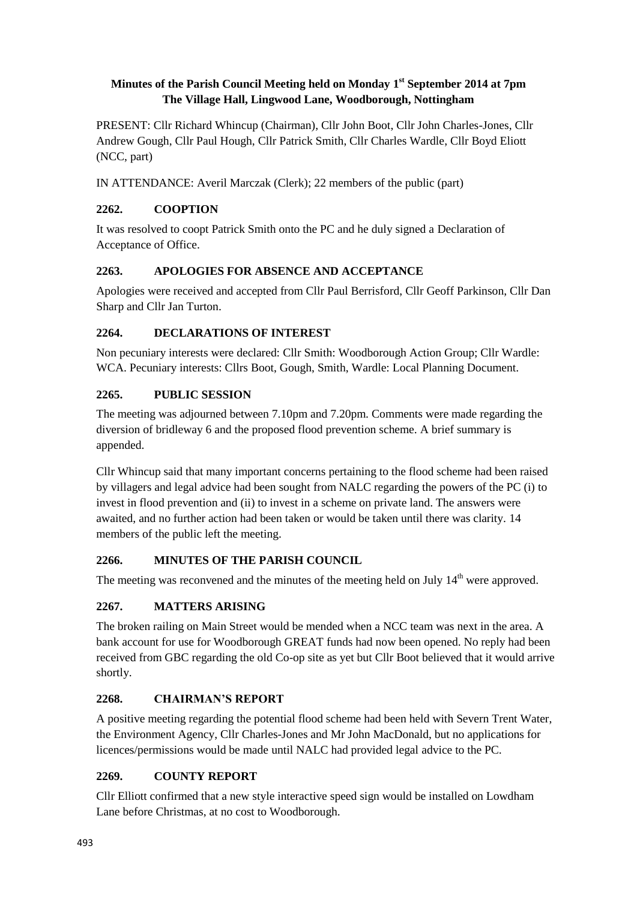## **Minutes of the Parish Council Meeting held on Monday 1 st September 2014 at 7pm The Village Hall, Lingwood Lane, Woodborough, Nottingham**

PRESENT: Cllr Richard Whincup (Chairman), Cllr John Boot, Cllr John Charles-Jones, Cllr Andrew Gough, Cllr Paul Hough, Cllr Patrick Smith, Cllr Charles Wardle, Cllr Boyd Eliott (NCC, part)

IN ATTENDANCE: Averil Marczak (Clerk); 22 members of the public (part)

## **2262. COOPTION**

It was resolved to coopt Patrick Smith onto the PC and he duly signed a Declaration of Acceptance of Office.

### **2263. APOLOGIES FOR ABSENCE AND ACCEPTANCE**

Apologies were received and accepted from Cllr Paul Berrisford, Cllr Geoff Parkinson, Cllr Dan Sharp and Cllr Jan Turton.

### **2264. DECLARATIONS OF INTEREST**

Non pecuniary interests were declared: Cllr Smith: Woodborough Action Group; Cllr Wardle: WCA. Pecuniary interests: Cllrs Boot, Gough, Smith, Wardle: Local Planning Document.

### **2265. PUBLIC SESSION**

The meeting was adjourned between 7.10pm and 7.20pm. Comments were made regarding the diversion of bridleway 6 and the proposed flood prevention scheme. A brief summary is appended.

Cllr Whincup said that many important concerns pertaining to the flood scheme had been raised by villagers and legal advice had been sought from NALC regarding the powers of the PC (i) to invest in flood prevention and (ii) to invest in a scheme on private land. The answers were awaited, and no further action had been taken or would be taken until there was clarity. 14 members of the public left the meeting.

# **2266. MINUTES OF THE PARISH COUNCIL**

The meeting was reconvened and the minutes of the meeting held on July  $14<sup>th</sup>$  were approved.

# **2267. MATTERS ARISING**

The broken railing on Main Street would be mended when a NCC team was next in the area. A bank account for use for Woodborough GREAT funds had now been opened. No reply had been received from GBC regarding the old Co-op site as yet but Cllr Boot believed that it would arrive shortly.

# **2268. CHAIRMAN'S REPORT**

A positive meeting regarding the potential flood scheme had been held with Severn Trent Water, the Environment Agency, Cllr Charles-Jones and Mr John MacDonald, but no applications for licences/permissions would be made until NALC had provided legal advice to the PC.

# **2269. COUNTY REPORT**

Cllr Elliott confirmed that a new style interactive speed sign would be installed on Lowdham Lane before Christmas, at no cost to Woodborough.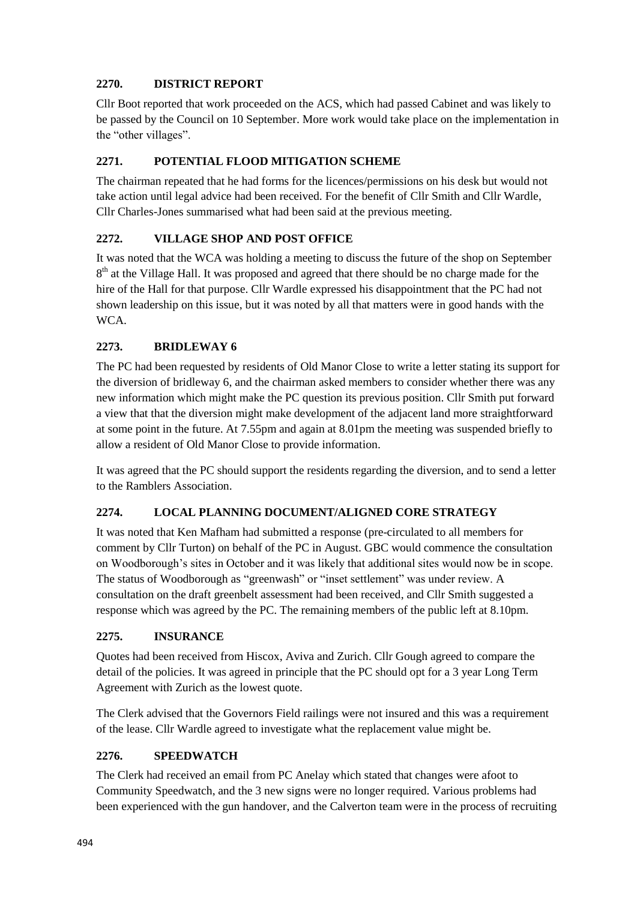## **2270. DISTRICT REPORT**

Cllr Boot reported that work proceeded on the ACS, which had passed Cabinet and was likely to be passed by the Council on 10 September. More work would take place on the implementation in the "other villages".

## **2271. POTENTIAL FLOOD MITIGATION SCHEME**

The chairman repeated that he had forms for the licences/permissions on his desk but would not take action until legal advice had been received. For the benefit of Cllr Smith and Cllr Wardle, Cllr Charles-Jones summarised what had been said at the previous meeting.

### **2272. VILLAGE SHOP AND POST OFFICE**

It was noted that the WCA was holding a meeting to discuss the future of the shop on September 8<sup>th</sup> at the Village Hall. It was proposed and agreed that there should be no charge made for the hire of the Hall for that purpose. Cllr Wardle expressed his disappointment that the PC had not shown leadership on this issue, but it was noted by all that matters were in good hands with the WCA.

### **2273. BRIDLEWAY 6**

The PC had been requested by residents of Old Manor Close to write a letter stating its support for the diversion of bridleway 6, and the chairman asked members to consider whether there was any new information which might make the PC question its previous position. Cllr Smith put forward a view that that the diversion might make development of the adjacent land more straightforward at some point in the future. At 7.55pm and again at 8.01pm the meeting was suspended briefly to allow a resident of Old Manor Close to provide information.

It was agreed that the PC should support the residents regarding the diversion, and to send a letter to the Ramblers Association.

### **2274. LOCAL PLANNING DOCUMENT/ALIGNED CORE STRATEGY**

It was noted that Ken Mafham had submitted a response (pre-circulated to all members for comment by Cllr Turton) on behalf of the PC in August. GBC would commence the consultation on Woodborough's sites in October and it was likely that additional sites would now be in scope. The status of Woodborough as "greenwash" or "inset settlement" was under review. A consultation on the draft greenbelt assessment had been received, and Cllr Smith suggested a response which was agreed by the PC. The remaining members of the public left at 8.10pm.

### **2275. INSURANCE**

Quotes had been received from Hiscox, Aviva and Zurich. Cllr Gough agreed to compare the detail of the policies. It was agreed in principle that the PC should opt for a 3 year Long Term Agreement with Zurich as the lowest quote.

The Clerk advised that the Governors Field railings were not insured and this was a requirement of the lease. Cllr Wardle agreed to investigate what the replacement value might be.

### **2276. SPEEDWATCH**

The Clerk had received an email from PC Anelay which stated that changes were afoot to Community Speedwatch, and the 3 new signs were no longer required. Various problems had been experienced with the gun handover, and the Calverton team were in the process of recruiting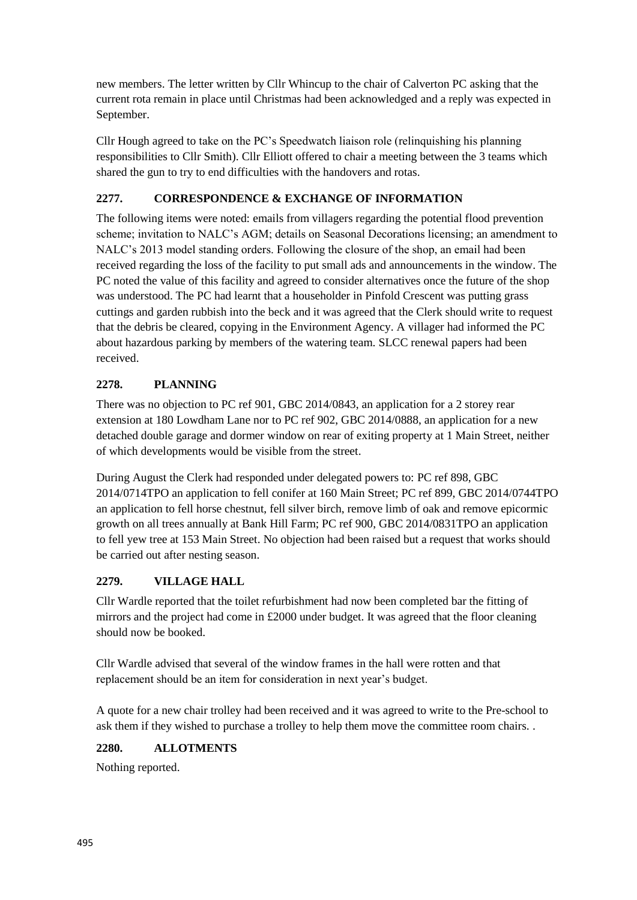new members. The letter written by Cllr Whincup to the chair of Calverton PC asking that the current rota remain in place until Christmas had been acknowledged and a reply was expected in September.

Cllr Hough agreed to take on the PC's Speedwatch liaison role (relinquishing his planning responsibilities to Cllr Smith). Cllr Elliott offered to chair a meeting between the 3 teams which shared the gun to try to end difficulties with the handovers and rotas.

# **2277. CORRESPONDENCE & EXCHANGE OF INFORMATION**

The following items were noted: emails from villagers regarding the potential flood prevention scheme; invitation to NALC's AGM; details on Seasonal Decorations licensing; an amendment to NALC's 2013 model standing orders. Following the closure of the shop, an email had been received regarding the loss of the facility to put small ads and announcements in the window. The PC noted the value of this facility and agreed to consider alternatives once the future of the shop was understood. The PC had learnt that a householder in Pinfold Crescent was putting grass cuttings and garden rubbish into the beck and it was agreed that the Clerk should write to request that the debris be cleared, copying in the Environment Agency. A villager had informed the PC about hazardous parking by members of the watering team. SLCC renewal papers had been received.

# **2278. PLANNING**

There was no objection to PC ref 901, GBC 2014/0843, an application for a 2 storey rear extension at 180 Lowdham Lane nor to PC ref 902, GBC 2014/0888, an application for a new detached double garage and dormer window on rear of exiting property at 1 Main Street, neither of which developments would be visible from the street.

During August the Clerk had responded under delegated powers to: PC ref 898, GBC 2014/0714TPO an application to fell conifer at 160 Main Street; PC ref 899, GBC 2014/0744TPO an application to fell horse chestnut, fell silver birch, remove limb of oak and remove epicormic growth on all trees annually at Bank Hill Farm; PC ref 900, GBC 2014/0831TPO an application to fell yew tree at 153 Main Street. No objection had been raised but a request that works should be carried out after nesting season.

# **2279. VILLAGE HALL**

Cllr Wardle reported that the toilet refurbishment had now been completed bar the fitting of mirrors and the project had come in £2000 under budget. It was agreed that the floor cleaning should now be booked.

Cllr Wardle advised that several of the window frames in the hall were rotten and that replacement should be an item for consideration in next year's budget.

A quote for a new chair trolley had been received and it was agreed to write to the Pre-school to ask them if they wished to purchase a trolley to help them move the committee room chairs. .

# **2280. ALLOTMENTS**

Nothing reported.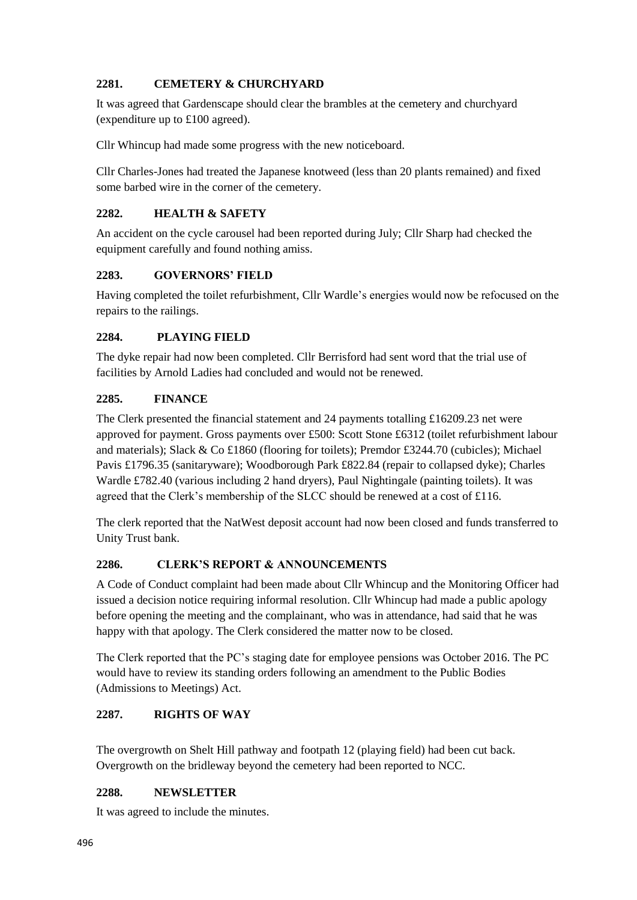### **2281. CEMETERY & CHURCHYARD**

It was agreed that Gardenscape should clear the brambles at the cemetery and churchyard (expenditure up to £100 agreed).

Cllr Whincup had made some progress with the new noticeboard.

Cllr Charles-Jones had treated the Japanese knotweed (less than 20 plants remained) and fixed some barbed wire in the corner of the cemetery.

## **2282. HEALTH & SAFETY**

An accident on the cycle carousel had been reported during July; Cllr Sharp had checked the equipment carefully and found nothing amiss.

# **2283. GOVERNORS' FIELD**

Having completed the toilet refurbishment, Cllr Wardle's energies would now be refocused on the repairs to the railings.

### **2284. PLAYING FIELD**

The dyke repair had now been completed. Cllr Berrisford had sent word that the trial use of facilities by Arnold Ladies had concluded and would not be renewed.

### **2285. FINANCE**

The Clerk presented the financial statement and 24 payments totalling £16209.23 net were approved for payment. Gross payments over £500: Scott Stone £6312 (toilet refurbishment labour and materials); Slack & Co £1860 (flooring for toilets); Premdor £3244.70 (cubicles); Michael Pavis £1796.35 (sanitaryware); Woodborough Park £822.84 (repair to collapsed dyke); Charles Wardle £782.40 (various including 2 hand dryers), Paul Nightingale (painting toilets). It was agreed that the Clerk's membership of the SLCC should be renewed at a cost of £116.

The clerk reported that the NatWest deposit account had now been closed and funds transferred to Unity Trust bank.

# **2286. CLERK'S REPORT & ANNOUNCEMENTS**

A Code of Conduct complaint had been made about Cllr Whincup and the Monitoring Officer had issued a decision notice requiring informal resolution. Cllr Whincup had made a public apology before opening the meeting and the complainant, who was in attendance, had said that he was happy with that apology. The Clerk considered the matter now to be closed.

The Clerk reported that the PC's staging date for employee pensions was October 2016. The PC would have to review its standing orders following an amendment to the Public Bodies (Admissions to Meetings) Act.

# **2287. RIGHTS OF WAY**

The overgrowth on Shelt Hill pathway and footpath 12 (playing field) had been cut back. Overgrowth on the bridleway beyond the cemetery had been reported to NCC.

### **2288. NEWSLETTER**

It was agreed to include the minutes.